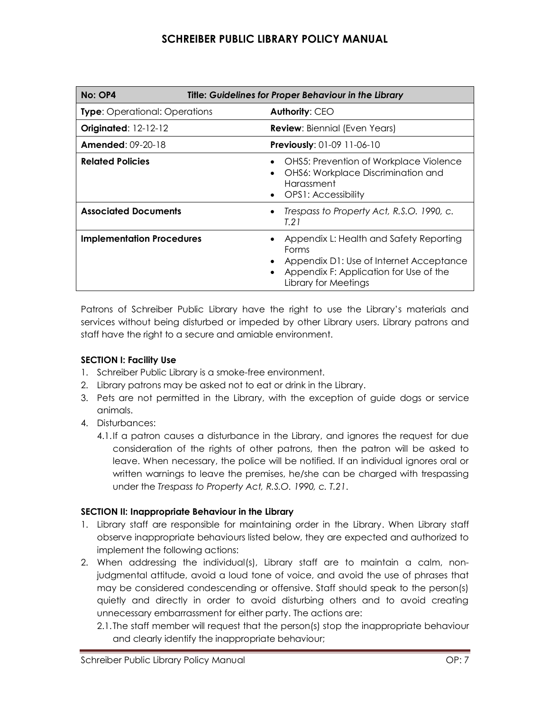| No: OP4                                                | <b>Title: Guidelines for Proper Behaviour in the Library</b> |                                                                                                                                                               |
|--------------------------------------------------------|--------------------------------------------------------------|---------------------------------------------------------------------------------------------------------------------------------------------------------------|
| <b>Type:</b> Operational: Operations                   |                                                              | <b>Authority: CEO</b>                                                                                                                                         |
| <b>Originated: 12-12-12</b>                            |                                                              | <b>Review:</b> Biennial (Even Years)                                                                                                                          |
| <b>Amended: 09-20-18</b><br>Previously: 01-09 11-06-10 |                                                              |                                                                                                                                                               |
| <b>Related Policies</b>                                |                                                              | <b>OHS5: Prevention of Workplace Violence</b><br><b>OHS6: Workplace Discrimination and</b><br>Harassment<br>OPS1: Accessibility                               |
| <b>Associated Documents</b>                            |                                                              | Trespass to Property Act, R.S.O. 1990, c.<br>T.21                                                                                                             |
| <b>Implementation Procedures</b>                       |                                                              | Appendix L: Health and Safety Reporting<br>Forms<br>Appendix D1: Use of Internet Acceptance<br>Appendix F: Application for Use of the<br>Library for Meetings |

Patrons of Schreiber Public Library have the right to use the Library's materials and services without being disturbed or impeded by other Library users. Library patrons and staff have the right to a secure and amiable environment.

### **SECTION I: Facility Use**

- 1. Schreiber Public Library is a smoke-free environment.
- 2. Library patrons may be asked not to eat or drink in the Library.
- 3. Pets are not permitted in the Library, with the exception of guide dogs or service animals.
- 4. Disturbances:
	- 4.1.If a patron causes a disturbance in the Library, and ignores the request for due consideration of the rights of other patrons, then the patron will be asked to leave. When necessary, the police will be notified. If an individual ignores oral or written warnings to leave the premises, he/she can be charged with trespassing under the *Trespass to Property Act, R.S.O. 1990, c. T.21*.

### **SECTION II: Inappropriate Behaviour in the Library**

- 1. Library staff are responsible for maintaining order in the Library. When Library staff observe inappropriate behaviours listed below, they are expected and authorized to implement the following actions:
- 2. When addressing the individual(s), Library staff are to maintain a calm, nonjudgmental attitude, avoid a loud tone of voice, and avoid the use of phrases that may be considered condescending or offensive. Staff should speak to the person(s) quietly and directly in order to avoid disturbing others and to avoid creating unnecessary embarrassment for either party. The actions are:
	- 2.1.The staff member will request that the person(s) stop the inappropriate behaviour and clearly identify the inappropriate behaviour;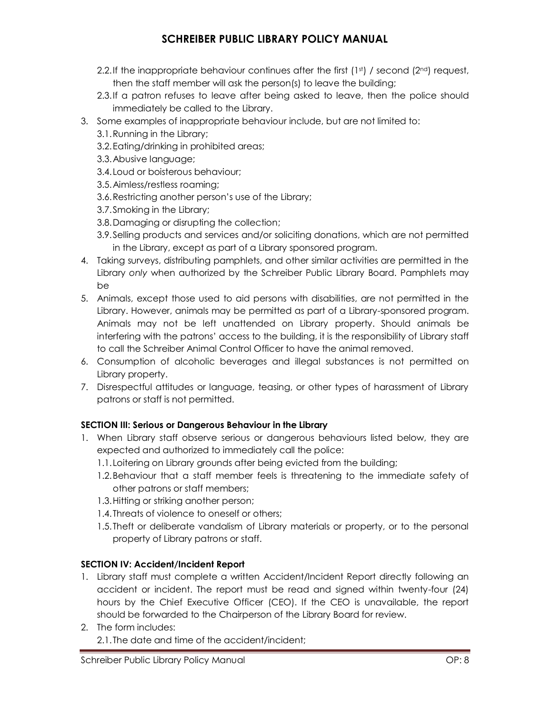- 2.2.If the inappropriate behaviour continues after the first  $(1st)$  / second  $(2nd)$  request, then the staff member will ask the person(s) to leave the building;
- 2.3.If a patron refuses to leave after being asked to leave, then the police should immediately be called to the Library.
- 3. Some examples of inappropriate behaviour include, but are not limited to:
	- 3.1.Running in the Library;
	- 3.2.Eating/drinking in prohibited areas;
	- 3.3.Abusive language;
	- 3.4.Loud or boisterous behaviour;
	- 3.5.Aimless/restless roaming;
	- 3.6.Restricting another person's use of the Library;
	- 3.7.Smoking in the Library;
	- 3.8.Damaging or disrupting the collection;
	- 3.9.Selling products and services and/or soliciting donations, which are not permitted in the Library, except as part of a Library sponsored program.
- 4. Taking surveys, distributing pamphlets, and other similar activities are permitted in the Library *only* when authorized by the Schreiber Public Library Board. Pamphlets may be
- 5. Animals, except those used to aid persons with disabilities, are not permitted in the Library. However, animals may be permitted as part of a Library-sponsored program. Animals may not be left unattended on Library property. Should animals be interfering with the patrons' access to the building, it is the responsibility of Library staff to call the Schreiber Animal Control Officer to have the animal removed.
- 6. Consumption of alcoholic beverages and illegal substances is not permitted on Library property.
- 7. Disrespectful attitudes or language, teasing, or other types of harassment of Library patrons or staff is not permitted.

### **SECTION III: Serious or Dangerous Behaviour in the Library**

- 1. When Library staff observe serious or dangerous behaviours listed below, they are expected and authorized to immediately call the police:
	- 1.1.Loitering on Library grounds after being evicted from the building;
	- 1.2.Behaviour that a staff member feels is threatening to the immediate safety of other patrons or staff members;
	- 1.3.Hitting or striking another person;
	- 1.4.Threats of violence to oneself or others;
	- 1.5.Theft or deliberate vandalism of Library materials or property, or to the personal property of Library patrons or staff.

### **SECTION IV: Accident/Incident Report**

- 1. Library staff must complete a written Accident/Incident Report directly following an accident or incident. The report must be read and signed within twenty-four (24) hours by the Chief Executive Officer (CEO). If the CEO is unavailable, the report should be forwarded to the Chairperson of the Library Board for review.
- 2. The form includes: 2.1.The date and time of the accident/incident;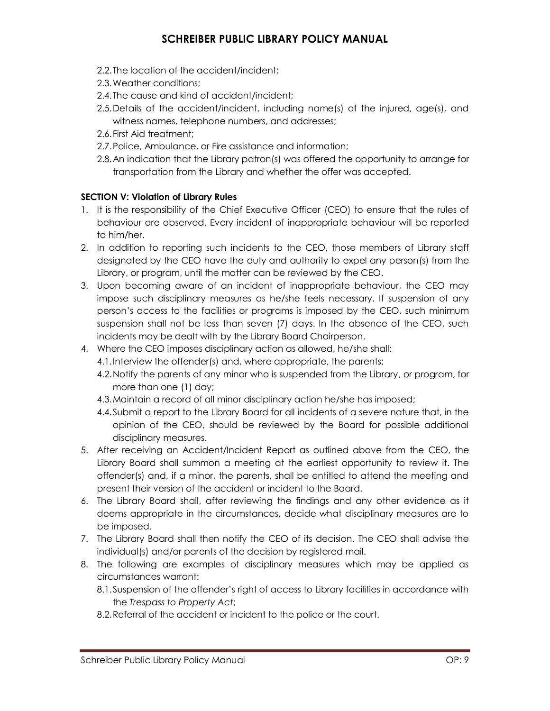- 2.2.The location of the accident/incident;
- 2.3.Weather conditions;
- 2.4.The cause and kind of accident/incident;
- 2.5.Details of the accident/incident, including name(s) of the injured, age(s), and witness names, telephone numbers, and addresses;
- 2.6.First Aid treatment;
- 2.7.Police, Ambulance, or Fire assistance and information;
- 2.8.An indication that the Library patron(s) was offered the opportunity to arrange for transportation from the Library and whether the offer was accepted.

### **SECTION V: Violation of Library Rules**

- 1. It is the responsibility of the Chief Executive Officer (CEO) to ensure that the rules of behaviour are observed. Every incident of inappropriate behaviour will be reported to him/her.
- 2. In addition to reporting such incidents to the CEO, those members of Library staff designated by the CEO have the duty and authority to expel any person(s) from the Library, or program, until the matter can be reviewed by the CEO.
- 3. Upon becoming aware of an incident of inappropriate behaviour, the CEO may impose such disciplinary measures as he/she feels necessary. If suspension of any person's access to the facilities or programs is imposed by the CEO, such minimum suspension shall not be less than seven (7) days. In the absence of the CEO, such incidents may be dealt with by the Library Board Chairperson.
- 4. Where the CEO imposes disciplinary action as allowed, he/she shall:
	- 4.1.Interview the offender(s) and, where appropriate, the parents;
	- 4.2.Notify the parents of any minor who is suspended from the Library, or program, for more than one (1) day;
	- 4.3.Maintain a record of all minor disciplinary action he/she has imposed;
	- 4.4.Submit a report to the Library Board for all incidents of a severe nature that, in the opinion of the CEO, should be reviewed by the Board for possible additional disciplinary measures.
- 5. After receiving an Accident/Incident Report as outlined above from the CEO, the Library Board shall summon a meeting at the earliest opportunity to review it. The offender(s) and, if a minor, the parents, shall be entitled to attend the meeting and present their version of the accident or incident to the Board.
- 6. The Library Board shall, after reviewing the findings and any other evidence as it deems appropriate in the circumstances, decide what disciplinary measures are to be imposed.
- 7. The Library Board shall then notify the CEO of its decision. The CEO shall advise the individual(s) and/or parents of the decision by registered mail.
- 8. The following are examples of disciplinary measures which may be applied as circumstances warrant:
	- 8.1.Suspension of the offender's right of access to Library facilities in accordance with the *Trespass to Property Act*;
	- 8.2.Referral of the accident or incident to the police or the court.